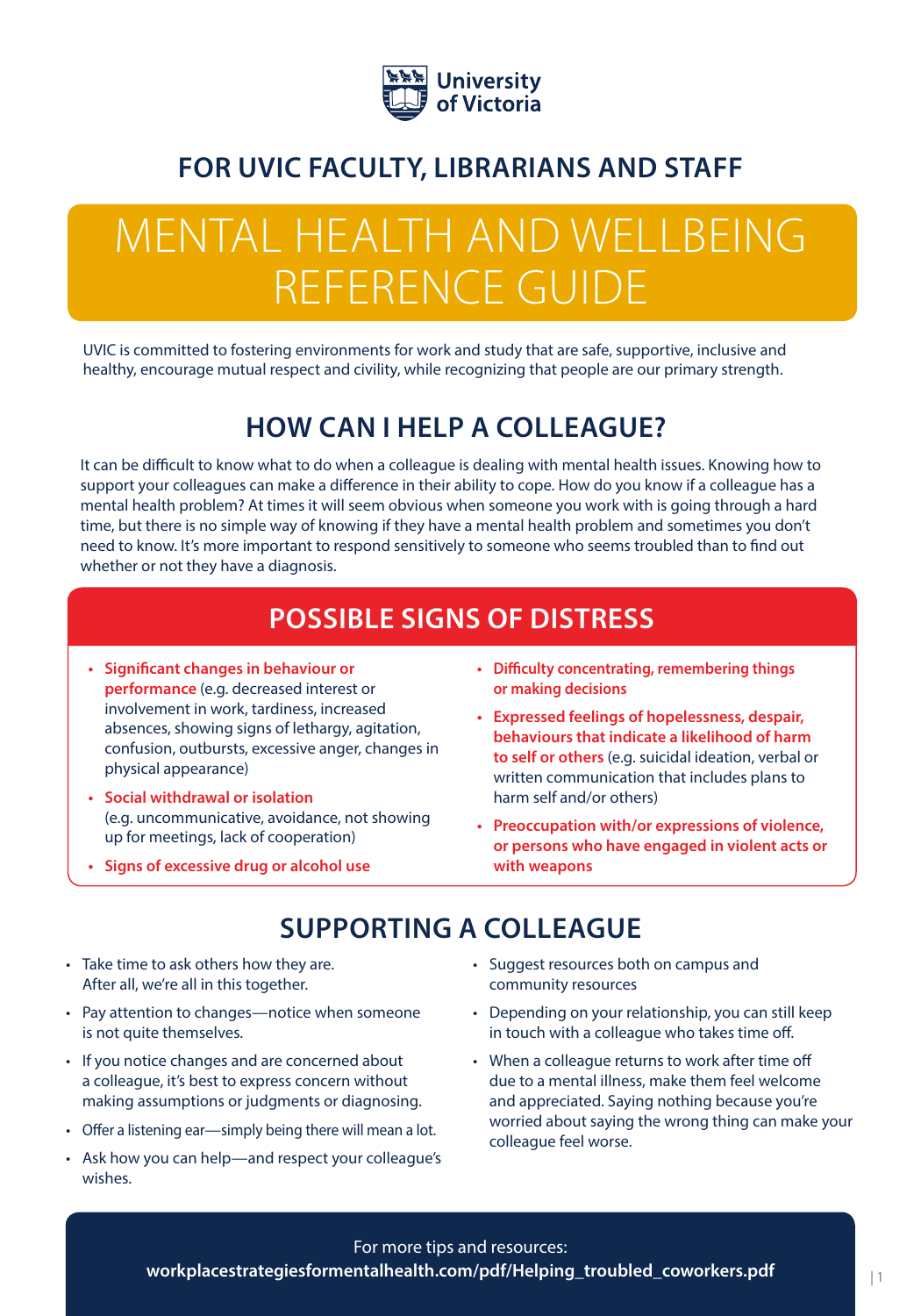

### **FOR UVIC FACULTY, LIBRARIANS AND STAFF**

## MENTAL HEALTH AND WELLBEING REFERENCE GUIDE

UVIC is committed to fostering environments for work and study that are safe, supportive, inclusive and healthy, encourage mutual respect and civility, while recognizing that people are our primary strength.

#### **HOW CAN I HELP A COLLEAGUE?**

It can be difficult to know what to do when a colleague is dealing with mental health issues. Knowing how to support your colleagues can make a difference in their ability to cope. How do you know if a colleague has a mental health problem? At times it will seem obvious when someone you work with is going through a hard time, but there is no simple way of knowing if they have a mental health problem and sometimes you don't need to know. It's more important to respond sensitively to someone who seems troubled than to find out whether or not they have a diagnosis.

### **POSSIBLE SIGNS OF DISTRESS**

- **Significant changes in behaviour or performance** (e.g. decreased interest or involvement in work, tardiness, increased absences, showing signs of lethargy, agitation, confusion, outbursts, excessive anger, changes in physical appearance)
- **Social withdrawal or isolation** (e.g. uncommunicative, avoidance, not showing up for meetings, lack of cooperation)
- **• Signs of excessive drug or alcohol use**
- **• Difficulty concentrating, remembering things or making decisions**
- **Expressed feelings of hopelessness, despair, behaviours that indicate a likelihood of harm to self or others** (e.g. suicidal ideation, verbal or written communication that includes plans to harm self and/or others)
- **• Preoccupation with/or expressions of violence, or persons who have engaged in violent acts or with weapons**

#### **SUPPORTING A COLLEAGUE**

- Take time to ask others how they are. After all, we're all in this together.
- Pay attention to changes—notice when someone is not quite themselves.
- If you notice changes and are concerned about a colleague, it's best to express concern without making assumptions or judgments or diagnosing.
- Offer a listening ear—simply being there will mean a lot.
- Ask how you can help—and respect your colleague's wishes.
- Suggest resources both on campus and community resources
- Depending on your relationship, you can still keep in touch with a colleague who takes time off.
- When a colleague returns to work after time off due to a mental illness, make them feel welcome and appreciated. Saying nothing because you're worried about saying the wrong thing can make your colleague feel worse.

#### For more tips and resources: **workplacestrategiesformentalhealth.com/pdf/Helping\_troubled\_coworkers.pdf**